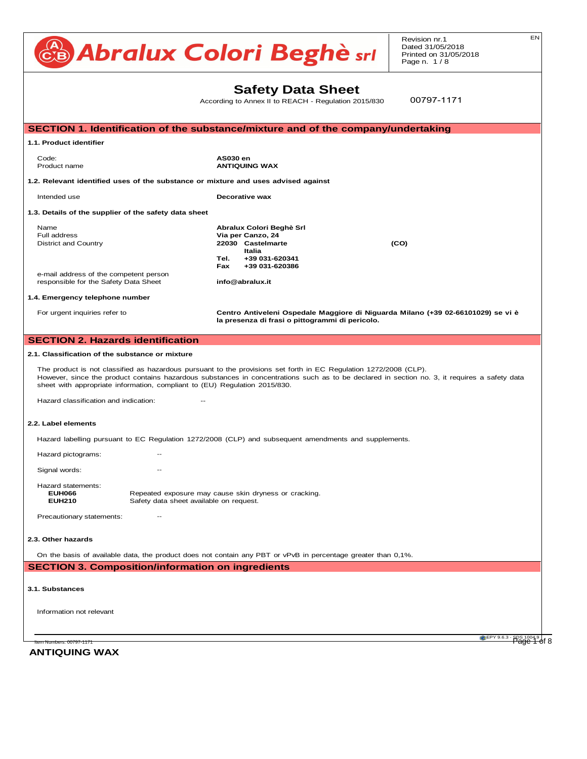Revision nr.1 Dated 31/05/2018 Printed on 31/05/2018 Page n. 1 / 8

#### **Safety Data Sheet Sheet Sheet Sheet Sheet Sheet Sheet Sheet Sheet Sheet Sheet Sheet Sheet Sheet Sheet Sheet Sheet Sheet Sheet Sheet Sheet Sheet Sheet Sheet Sheet Sheet Sheet Sheet Sheet Sheet Sheet Sheet Sheet Sheet Sheet**  $\mathsf{S}$ a biling point  $\mathsf{S}$ a biling point  $\mathsf{S}$ a biling point 65  $\mathsf{S}$ a biling point 65  $\mathsf{S}$ a biling point 65  $\mathsf{S}$ a biling point 65  $\mathsf{S}$ a biling point 65  $\mathsf{S}$ a biling point 65  $\mathsf{S}$ a biling po

According to Annex II to REACH - Regulation 2015/830  $\begin{bmatrix} 9 & 2 & 1 \end{bmatrix}$ 

00797-1171

ltem Numbers: 00797-1171 **CDM 2004.9** | CHEPY 9.6.3 - SDS 1004.9 | CHEPY 9.6.3 - SDS 1004.9 | CHEPY 9.6.3 - SDS 1004.9 | CHEPY 9.6.3 - SDS 1004.9 | CHEPY 9.6.3 - SDS 1004.9 | CHEPY 9.6.3 - SDS 1004.9 | CHER SECTION 1. Identification of the substance/mixture and of the company/undertaking 1.1. Product identifier **and the contract of the contract of the contract of the contract of the contract of the** Code: **AS030 en Product name and mixture: Not classified (no significant component) of the mixture: No significant component component) of the mixture: No significant component component component component component component component** 1.2. Relevant identified uses of the substance or mixture and uses advised against **Intended use of SOS models for Coefficient: n-octanolism coefficient: Not available superiore of Sanità) - Italy** 1.3. Details of the supplier of the safety data sheet Name **Example 2018** Abraham Abraham Abraham Abraham Abraham Abraham Abraham Abraham Abraham Abraham Abraham Abrah **Full address and thoroughness of properties Not available properties Not available to each specific use of the product. District and Country <b>22030 Castelmarte (CO) CO Italia Tel.**  $+39\,031-620341$ **Fax +39 031-620386** Eax +39 031-620366<br>e-mail address of the competent person e-mail address or the competent person<br>responsible for the Safety Data Sheet **info@abralux.it** 1.4. Emergency telephone number For urgent inquiries refer to **Centro Antiveleni Ospedale Maggiore di Niguarda Milano (+39 02-66101029) se vi è** Specific information on symptoms and effects caused by the product are unknown. la presenza di frasi o pittogrammi di pericolo. **SECTION 2. Hazards identification** 2.1. Classification of the substance or mixture The product is not classified as hazardous pursuant to the provisions set forth in EC Regulation 1272/2008 (CLP). The product is not classified as hazardous pursuant to the provisions set forth in EC Regulation 1272/2006 (CLF).<br>However, since the product contains hazardous substances in concentrations such as to be declared in section However, since the product contains hazardous substances in concentrations<br>sheet with appropriate information, compliant to (EU) Regulation 2015/830. Hazard classification and indication: The conventional conventional carbon dioxide, for the conventional conventional conventional conventional conventional conventional conventional conventional conventional conventional **2.2. Label elements** Hazard labelling pursuant to EC Regulation 1272/2008 (CLP) and subsequent amendments and supplements. Hazard pictograms: The combustion products. Signal words:  $\frac{1}{2}$ Hazard statements:<br>- EUE PROTECTION Departed averaging provinci riazard staternerits.<br>**EUH066 Repeated exposure may cause skin dryness or cracking. EURIOS**<br>**EUH210** Safety data sheet available on request. Precautionary statements: The chemical required, unless indicated otherwise in the chemical risk assessment. 2.3. Other hazards<br>*12.2. Toxicological* effects of exposure to the product. On the basis of available data, the product does not contain any PBT or vPvB in percentage greater than 0,1%. **SECTION 3. Composition/information on ingredients Information not available in the European Parliament Cone available in the European Parliament Cone available Information not relevant** *INDEX 649-405-00-X* **12.6. Other adverse effects** None **SECTION 4. FIRST AID MANUSCRIPT** Native contact lenses and the movement of which plenty of water for at least 15 minutes, opening the eyelids fully. If problem in the eyelids fully at least 15 minutes, opening the eyelids fully at least 15 minutes, openin rull address<br>District and Country SKIN: RINSE CONTAMINATED CONTAMINATED SKIN WITH A SHOWER SKIN WITH A SHOWER MEDICAL ADVICE/ATTENTION IMMEDIATED IN<br>Contaminated and contaminated and attention in material and attention in material and attention in material  $1.41$  the subject stops breathing, and subject stops breathing, and subject medical advice  $\frac{1}{2}$ Hazard classification and indication: **INTER: International Air Transport Air Transport Association** Dangerous A **5.2. Label elements** are substance or mixture or mixture or mixture or mixture or mixture. health. Always wear full fire prevention gear. Collect extinguishing water to prevent it from draining into the sewer system. Dispose of **SECTION 12. Ecological information 14.7. Transport in bulk according to Annex II of Marpol and the IBC Code** - RID: Regulation concerning the international transport of dangerous goods by train Note fighting contribution fighting in the sense of the specification and boots (HO specification A30) in compi  $W<sub>spin</sub>$  suitable protective equipment referred to under Section 8 of the safety data sheet  $\frac{1}{\sqrt{2}}$ any contamination of skin, eyes and personal clothing. These indications apply for both processing stations apply for both processing stations apply for both processing stations and those in emergency in emergency in emerg **6.3. Methods and material for containment and cleaning up** Make sure the leakage site is well aired. Evaluate the compatibility of the container to be used, by checking section 10. Contaminated material **6.4. Reference to other sections Intended use 7.1.** Petails of the supplier of the safety data shoot accumulate at ground level and, in ignituding the danger of backfire. Avoid bunching of bunching of electrostatic charges. Avoid bunching of electrostatic charges. Avoid bunching of electrostatic charges. Avoid bunching of Do not eat, drink or smoke during use. Remove any contaminated clothes and personal protective equipment before entering places in which people eat the product into the product into the environment. The environment of the product into the environment. **7.2. Conditions for safe storage, including any incompatibilities** e-mail address of the competent person<br>responsible for the Safety Data Sheet **info@abralux.it 7.3. Specific end use(s) SECTION 10. Stability and reactivity 14.1. UN number** For urgent inquiries refer  $A$  and  $B$  and  $B$  and  $B$  and  $B$  are personal protective equipment, make sure that the workplace is written workplace is  $\frac{1}{2}$  $W_{\text{total}}$  choosing personal protective equipment, as a set  $\alpha$ Personal protective equipment must be CE marked, showing that it complies with applicable standards. Hazard Johalling purpu Hazard labeling pursuant to EC Regulation T272/2006 (CLF) and subsequent amendments and supplements.  $\mu_{\text{exact}}$  material must be chosen according to the products that may form. Latex global may cause sensitivity  $\mu_{\text{exact}}$ riazaru pr Wear category I professional long-sleeved overalls and safety footwear (see Directive 89/686/EEC and standard EN ISO 20344). Wash body **EURZIU** Salt Frecautionally statements. On the basis of available data, the product does not contain any l . Substances  $\Gamma$ Information not relevant  $B_{\text{U}}$  and  $B_{\text{U}}$  and  $B_{\text{U}}$  are positive to  $B_{\text{U}}$  and  $B_{\text{U}}$ **ECTION 1. Identification of the substance/mi**  $\mathcal{L}$  inflame inflame inflame inflame inflame inflame inflame inflame inflame inflame inflame inflame inflame inflame inflame inflame inflame inflame inflame inflame inflame inflame inflame inflame inflame inflame infl Code: **AS030 en** Product name **Notify available in the Second ANTIQUING** . Relevant identified uses of the substance or mixture and . Details of the supplier of the safety data sheet Vocalista 2010/75/EC) : 0 100 EC (Directive 2010/75/EC) : 0 100 EC (Directive 2010 **10.1. Reactivity Cell Mutation** Precautionary statements: Fig. 2014. The contract of the contract of the contract of the contract of the contract of the contract of the contract of the contract of the contract of the contract of the contract of the contr Interactive effects Information not available . Relevant identified uses of the substance or mixture and uses advised against 1.3. Details of the supplier of the safety data sheet Name **Note that contract the classification criteria for the classification criteria for the classification** Does not meet the classification criteria for this hazard class Hazard labeling pursuant to EC Regulation 1272/2006 (CL **14.6. Hazard pictograms:** Persistent biograms for users and toxic as REACH Regulations and toxic as REACH REGUlations of the set of the set of toxic as REACH REGUlations and toxic as REACH REGUlations and toxic as REACH R Does not meet the classification criteria for this hazard class **SECTION 1. Identification of the su**  $\bf 0.01$  Froduct identifier any PBT or vPvB in percentage greater than  $\bf 0.001$ **13. Disposal considerations** National must be performed through an authorised was the performed through an authorised was the management of<br>Compliance with national and local regulations. The management of the management of the management of the mana  $\sum_{i=1}^{\infty}$  packaging must be recovered or disposed of  $\sum_{i=1}^{\infty}$  in complement regulations. (RID), of the International Maritime Dangerous Goods Code (IMDG), and of the International Air Transport Association (IATA) regulations. Not applicable Signal words:  $EOMZIO$ **SECTION 15. Regulatory information** Seveso Category - Directive 2012/18/EC: None .<br>Product identifier ). Relevant identified  $\mathsf{u}$ **Name**<br>Full address District and Country indicate in section 22030 Castel<br>Line **Flam. Liq. 3** Flammable liquid, category 3 **Has a manufature in the safety Data Sheet Consider and and and allegeness and entity EUGHORF REPEATED EXPOSURE MAY CAUSE SECTION EU Safety description sheet available on request and requested on**  $\mathcal{E}$ - ADR: European Agreement concerning the carriage of Dangerous goods by Road . Classification of the substance or mixture The product is not classified as Hazard classification and indication: Hazard labelling pursuar EUH210 LUTION J. COMPOS  $\Delta$ CCORDING to ATTIREX IT to the European Parliamental Paralia at the European Parliamental Paralia and Parliamental Parliamental Parliamental Parliamental Parliamental Parliamental Parliamental Parliamental Parliamental 12. Regulation (EU) 2016/1179 (IX Atp. CLP) **ECTION 1. Identification of the** - India - India - Fiche Toxicological sheet (toxicological sheet) - India - India - India - India - India - India - India - India - India - India - India - India - India - India - India - India - India - India - India - In . Relevant identified The use our direct control; the users must, users must, users must, users must, users must, users must, users must, under the current health the current health the current health the current health the current health the

**ANTIQUING WAX**

EN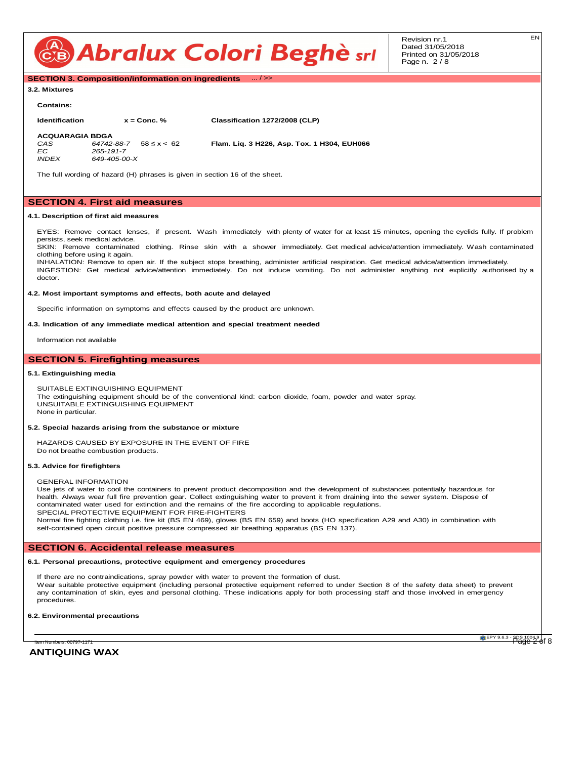

Revision nr.1 Dated 31/05/2018 Printed on 31/05/2018 Page n. 2 / 8

**SECTION 3. Composition/information on ingredients** ... / >>

#### **3.2. Mixtures**

#### **Contains:**

**Identification x = Conc. % Classification 1272/2008 (CLP) ACQUARAGIA BDGA**<br>CAS 64742-88-7 58 ≤ x < 62 *CAS 64742-88-7* 58 ≤ x < 62 **Flam. Liq. 3 H226, Asp. Tox. 1 H304, EUH066** *EC 265-191-7 INDEX 649-405-00-X*

The full wording of hazard (H) phrases is given in section 16 of the sheet.

#### **SECTION 4. First aid measures**

#### **4.1. Description of first aid measures**

EYES: Remove contact lenses, if present. Wash immediately with plenty of water for at least 15 minutes, opening the eyelids fully. If problem persists, seek medical advice.

SKIN: Remove contaminated clothing. Rinse skin with a shower immediately. Get medical advice/attention immediately. Wash contaminated clothing before using it again.

INHALATION: Remove to open air. If the subject stops breathing, administer artificial respiration. Get medical advice/attention immediately. INGESTION: Get medical advice/attention immediately. Do not induce vomiting. Do not administer anything not explicitly authorised by a doctor.

#### **4.2. Most important symptoms and effects, both acute and delayed**

Specific information on symptoms and effects caused by the product are unknown.

#### **4.3. Indication of any immediate medical attention and special treatment needed**

Information not available

### **SECTION 5. Firefighting measures**

#### **5.1. Extinguishing media**

SUITABLE EXTINGUISHING EQUIPMENT The extinguishing equipment should be of the conventional kind: carbon dioxide, foam, powder and water spray. UNSUITABLE EXTINGUISHING EQUIPMENT None in particular.

#### **5.2. Special hazards arising from the substance or mixture**

HAZARDS CAUSED BY EXPOSURE IN THE EVENT OF FIRE Do not breathe combustion products.

#### **5.3. Advice for firefighters**

#### GENERAL INFORMATION

Use jets of water to cool the containers to prevent product decomposition and the development of substances potentially hazardous for health. Always wear full fire prevention gear. Collect extinguishing water to prevent it from draining into the sewer system. Dispose of contaminated water used for extinction and the remains of the fire according to applicable regulations. SPECIAL PROTECTIVE EQUIPMENT FOR FIRE-FIGHTERS

Normal fire fighting clothing i.e. fire kit (BS EN 469), gloves (BS EN 659) and boots (HO specification A29 and A30) in combination with self-contained open circuit positive pressure compressed air breathing apparatus (BS EN 137).

#### **SECTION 6. Accidental release measures**

#### **6.1. Personal precautions, protective equipment and emergency procedures**

If there are no contraindications, spray powder with water to prevent the formation of dust.

Wear suitable protective equipment (including personal protective equipment referred to under Section 8 of the safety data sheet) to prevent any contamination of skin, eyes and personal clothing. These indications apply for both processing staff and those involved in emergency procedures.

#### **6.2. Environmental precautions**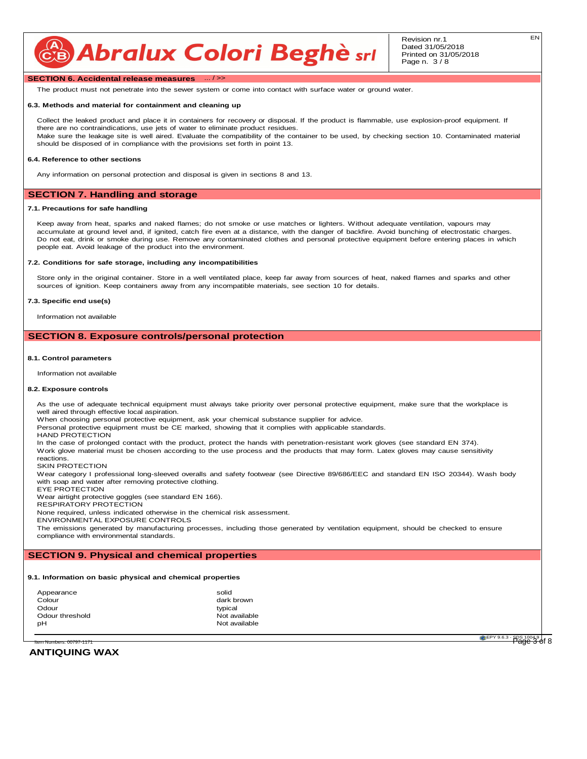#### **SECTION 6. Accidental release measures**

The product must not penetrate into the sewer system or come into contact with surface water or ground water.

#### **6.3. Methods and material for containment and cleaning up**

Collect the leaked product and place it in containers for recovery or disposal. If the product is flammable, use explosion-proof equipment. If there are no contraindications, use jets of water to eliminate product residues. Make sure the leakage site is well aired. Evaluate the compatibility of the container to be used, by checking section 10. Contaminated material should be disposed of in compliance with the provisions set forth in point 13.

#### **6.4. Reference to other sections**

Any information on personal protection and disposal is given in sections 8 and 13.

#### **SECTION 7. Handling and storage**

#### **7.1. Precautions for safe handling**

Keep away from heat, sparks and naked flames; do not smoke or use matches or lighters. Without adequate ventilation, vapours may accumulate at ground level and, if ignited, catch fire even at a distance, with the danger of backfire. Avoid bunching of electrostatic charges. Do not eat, drink or smoke during use. Remove any contaminated clothes and personal protective equipment before entering places in which people eat. Avoid leakage of the product into the environment.

#### **7.2. Conditions for safe storage, including any incompatibilities**

Store only in the original container. Store in a well ventilated place, keep far away from sources of heat, naked flames and sparks and other sources of ignition. Keep containers away from any incompatible materials, see section 10 for details.

#### **7.3. Specific end use(s)**

Information not available

#### **SECTION 8. Exposure controls/personal protection**

#### **8.1. Control parameters**

Information not available

#### **8.2. Exposure controls**

As the use of adequate technical equipment must always take priority over personal protective equipment, make sure that the workplace is well aired through effective local aspiration.

When choosing personal protective equipment, ask your chemical substance supplier for advice.

Personal protective equipment must be CE marked, showing that it complies with applicable standards.

HAND PROTECTION

In the case of prolonged contact with the product, protect the hands with penetration-resistant work gloves (see standard EN 374). Work glove material must be chosen according to the use process and the products that may form. Latex gloves may cause sensitivity reactions.

SKIN PROTECTION

Wear category I professional long-sleeved overalls and safety footwear (see Directive 89/686/EEC and standard EN ISO 20344). Wash body with soap and water after removing protective clothing.

EYE PROTECTION

Wear airtight protective goggles (see standard EN 166).

RESPIRATORY PROTECTION

None required, unless indicated otherwise in the chemical risk assessment.

ENVIRONMENTAL EXPOSURE CONTROLS

The emissions generated by manufacturing processes, including those generated by ventilation equipment, should be checked to ensure compliance with environmental standards.

#### **SECTION 9. Physical and chemical properties**

#### **9.1. Information on basic physical and chemical properties**

| Appearance      | solid         |
|-----------------|---------------|
| Colour          | dark brown    |
| Odour           | typical       |
| Odour threshold | Not available |
| рH              | Not available |
|                 |               |

#### **ANTIQUING WAX**

EPY 9.6.3 - SDS 1004.9 Item Numbers: 00797-1171 Page 3 of 8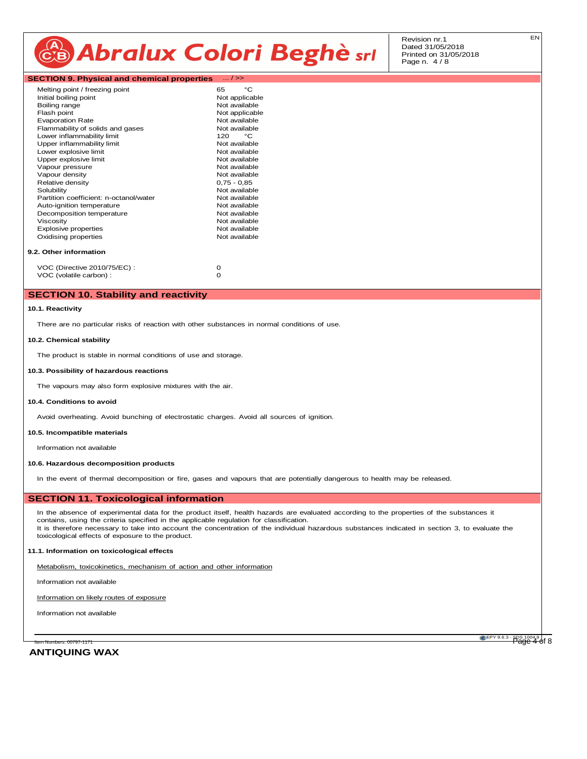Revision nr.1 Dated 31/05/2018 Printed on 31/05/2018 Page n. 4 / 8

|  |  | <b>SECTION 9. Physical and chemical properties</b> | $\dots/>>$ |
|--|--|----------------------------------------------------|------------|
|--|--|----------------------------------------------------|------------|

| Melting point / freezing point         | 65            |  | °۲             |  |  |
|----------------------------------------|---------------|--|----------------|--|--|
| Initial boiling point                  |               |  | Not applicable |  |  |
| Boiling range                          |               |  | Not available  |  |  |
| Flash point                            |               |  | Not applicable |  |  |
| <b>Evaporation Rate</b>                |               |  | Not available  |  |  |
| Flammability of solids and gases       |               |  | Not available  |  |  |
| Lower inflammability limit             | 120           |  | °€             |  |  |
| Upper inflammability limit             |               |  | Not available  |  |  |
| Lower explosive limit                  |               |  | Not available  |  |  |
| Upper explosive limit                  |               |  | Not available  |  |  |
| Vapour pressure                        |               |  | Not available  |  |  |
| Vapour density                         |               |  | Not available  |  |  |
| Relative density                       | $0,75 - 0,85$ |  |                |  |  |
| Solubility                             |               |  | Not available  |  |  |
| Partition coefficient: n-octanol/water |               |  | Not available  |  |  |
| Auto-ignition temperature              |               |  | Not available  |  |  |
| Decomposition temperature              |               |  | Not available  |  |  |
| Viscosity                              |               |  | Not available  |  |  |
| Explosive properties                   |               |  | Not available  |  |  |
| Oxidising properties                   |               |  | Not available  |  |  |
| 9.2. Other information                 |               |  |                |  |  |
| VOC (Directive 2010/75/EC):            | o             |  |                |  |  |

### VOC (volatile carbon) : 0

#### **SECTION 10. Stability and reactivity**

#### **10.1. Reactivity**

There are no particular risks of reaction with other substances in normal conditions of use.

#### **10.2. Chemical stability**

The product is stable in normal conditions of use and storage.

#### **10.3. Possibility of hazardous reactions**

The vapours may also form explosive mixtures with the air.

#### **10.4. Conditions to avoid**

Avoid overheating. Avoid bunching of electrostatic charges. Avoid all sources of ignition.

#### **10.5. Incompatible materials**

Information not available

#### **10.6. Hazardous decomposition products**

In the event of thermal decomposition or fire, gases and vapours that are potentially dangerous to health may be released.

#### **SECTION 11. Toxicological information**

In the absence of experimental data for the product itself, health hazards are evaluated according to the properties of the substances it contains, using the criteria specified in the applicable regulation for classification. It is therefore necessary to take into account the concentration of the individual hazardous substances indicated in section 3, to evaluate the toxicological effects of exposure to the product.

#### **11.1. Information on toxicological effects**

Metabolism, toxicokinetics, mechanism of action and other information

Information not available

#### Information on likely routes of exposure

Information not available

**ANTIQUING WAX**

ltem Numbers: 00797-1171 **CDM 2004.9** | CHEPY 9.6.3 - SDS 1004.9 | CHEPY 9.6.3 - SDS 1004.9 | CHEPY 9.6.3 - SDS 1004.9 | CHEPY 9.6.3 - SDS 1004.9 | CHEPY 9.6.3 - SDS 1004.9 | CHEPY 9.6.3 - SDS 1004.9 | CHER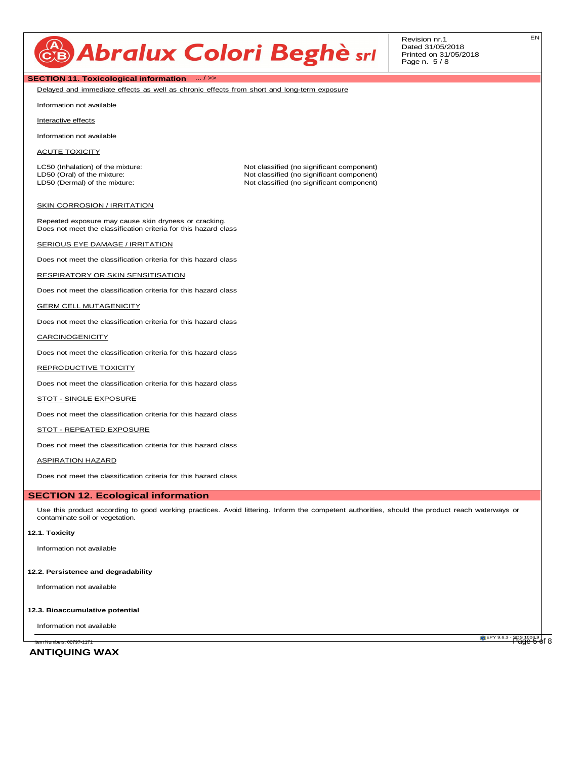Revision nr.1 Dated 31/05/2018 Printed on 31/05/2018 Page n. 5 / 8

#### **SECTION 11. Toxicological information** ... / >>

Delayed and immediate effects as well as chronic effects from short and long-term exposure

Information not available

Interactive effects

Information not available

ACUTE TOXICITY

LC50 (Inhalation) of the mixture: Not classified (no significant component)<br>
LD50 (Oral) of the mixture: Not classified (no significant component)

LD50 (Oral) of the mixture:  $\Box$ <br>
LD50 (Dermal) of the mixture: Not classified (no significant component)<br>
Not classified (no significant component) Not classified (no significant component)

#### **SKIN CORROSION / IRRITATION**

Repeated exposure may cause skin dryness or cracking. Does not meet the classification criteria for this hazard class

#### SERIOUS EYE DAMAGE / IRRITATION

Does not meet the classification criteria for this hazard class

#### RESPIRATORY OR SKIN SENSITISATION

Does not meet the classification criteria for this hazard class

#### **GERM CELL MUTAGENICITY**

Does not meet the classification criteria for this hazard class

#### **CARCINOGENICITY**

Does not meet the classification criteria for this hazard class

#### REPRODUCTIVE TOXICITY

Does not meet the classification criteria for this hazard class

#### STOT - SINGLE EXPOSURE

Does not meet the classification criteria for this hazard class

#### STOT - REPEATED EXPOSURE

Does not meet the classification criteria for this hazard class

#### ASPIRATION HAZARD

Does not meet the classification criteria for this hazard class

#### **SECTION 12. Ecological information**

Use this product according to good working practices. Avoid littering. Inform the competent authorities, should the product reach waterways or contaminate soil or vegetation.

#### **12.1. Toxicity**

Information not available

#### **12.2. Persistence and degradability**

Information not available

#### **12.3. Bioaccumulative potential**

Information not available

**ANTIQUING WAX**

ltem Numbers: 00797-1171 **CDM CONTRACT CONTRACT CONTRACT CONTRACT CONTRACT CONTRACT CONTRACT CONTRACT CONTRACT CON**<br>Page 5 of 8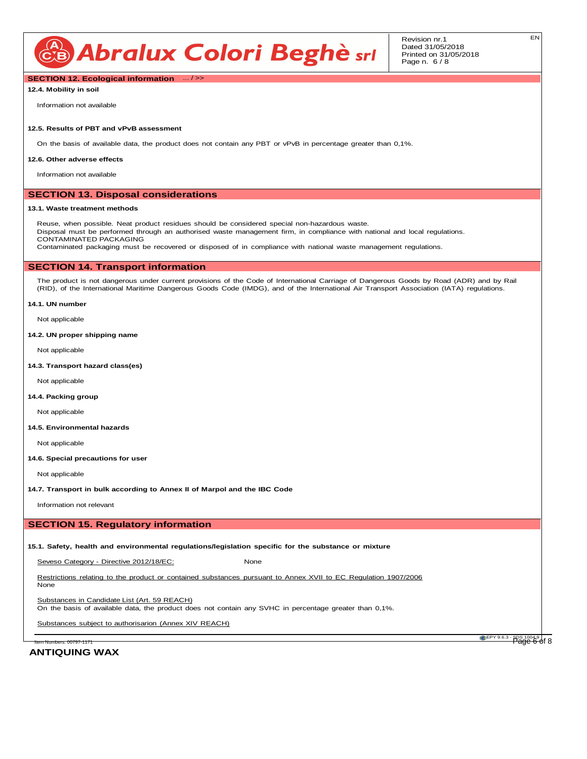

Revision nr.1 Dated 31/05/2018 Printed on 31/05/2018 Page n. 6 / 8

**SECTION 12. Ecological information** ... / >>

**12.4. Mobility in soil**

Information not available

#### **12.5. Results of PBT and vPvB assessment**

On the basis of available data, the product does not contain any PBT or vPvB in percentage greater than 0,1%.

#### **12.6. Other adverse effects**

Information not available

#### **SECTION 13. Disposal considerations**

#### **13.1. Waste treatment methods**

Reuse, when possible. Neat product residues should be considered special non-hazardous waste. Disposal must be performed through an authorised waste management firm, in compliance with national and local regulations. CONTAMINATED PACKAGING Contaminated packaging must be recovered or disposed of in compliance with national waste management regulations.

#### **SECTION 14. Transport information**

The product is not dangerous under current provisions of the Code of International Carriage of Dangerous Goods by Road (ADR) and by Rail (RID), of the International Maritime Dangerous Goods Code (IMDG), and of the International Air Transport Association (IATA) regulations.

#### **14.1. UN number**

Not applicable

**14.2. UN proper shipping name**

Not applicable

**14.3. Transport hazard class(es)**

Not applicable

#### **14.4. Packing group**

Not applicable

#### **14.5. Environmental hazards**

Not applicable

#### **14.6. Special precautions for user**

Not applicable

**14.7. Transport in bulk according to Annex II of Marpol and the IBC Code**

Information not relevant

#### **SECTION 15. Regulatory information**

**15.1. Safety, health and environmental regulations/legislation specific for the substance or mixture**

Seveso Category - Directive 2012/18/EC: None

Restrictions relating to the product or contained substances pursuant to Annex XVII to EC Regulation 1907/2006 None

Substances in Candidate List (Art. 59 REACH)

On the basis of available data, the product does not contain any SVHC in percentage greater than 0,1%.

Substances subject to authorisarion (Annex XIV REACH)

EPY 9.6.3 - SDS 1004.9 | , وَ EPY 9.6.3 - SDS 1004.9 | بَاسِي الله عن المستخدم العربي المستخدم العربي المستخدم<br>Page 6 of 8

#### **ANTIQUING WAX**

EN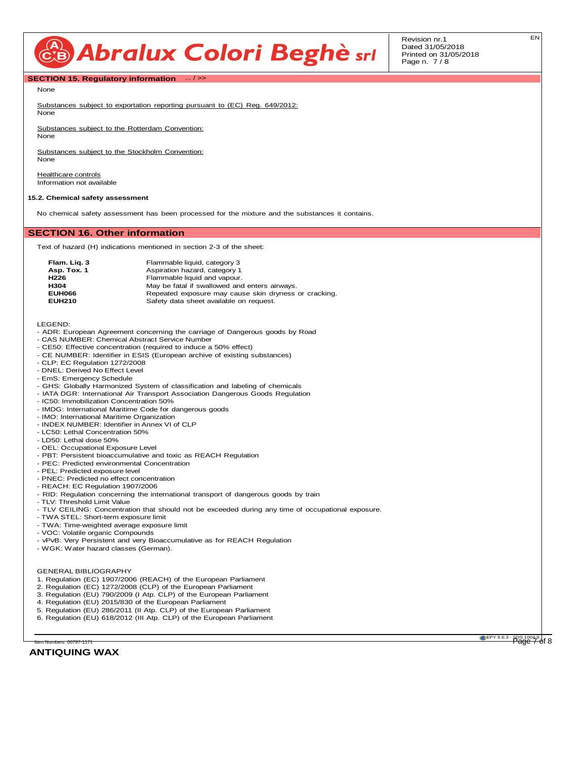Revision nr.1 Dated 31/05/2018 Printed on 31/05/2018 Page n. 7 / 8

#### **SECTION 15. Regulatory information** ... / >>

None

Substances subject to exportation reporting pursuant to (EC) Reg. 649/2012: None

Substances subject to the Rotterdam Convention: None

Substances subject to the Stockholm Convention: None

Healthcare controls Information not available

#### **15.2. Chemical safety assessment**

No chemical safety assessment has been processed for the mixture and the substances it contains.

#### **SECTION 16. Other information**

Text of hazard (H) indications mentioned in section 2-3 of the sheet:

| Flam. Lig. 3     | Flammable liquid, category 3                          |
|------------------|-------------------------------------------------------|
| Asp. Tox. 1      | Aspiration hazard, category 1                         |
| H <sub>226</sub> | Flammable liquid and vapour.                          |
| H304             | May be fatal if swallowed and enters airways.         |
| <b>EUH066</b>    | Repeated exposure may cause skin dryness or cracking. |
| <b>EUH210</b>    | Safety data sheet available on request.               |

LEGEND:

- ADR: European Agreement concerning the carriage of Dangerous goods by Road
- CAS NUMBER: Chemical Abstract Service Number
- CE50: Effective concentration (required to induce a 50% effect)
- CE NUMBER: Identifier in ESIS (European archive of existing substances)
- CLP: EC Regulation 1272/2008
- DNEL: Derived No Effect Level
- EmS: Emergency Schedule
- GHS: Globally Harmonized System of classification and labeling of chemicals
- IATA DGR: International Air Transport Association Dangerous Goods Regulation
- IC50: Immobilization Concentration 50%
- IMDG: International Maritime Code for dangerous goods
- IMO: International Maritime Organization
- INDEX NUMBER: Identifier in Annex VI of CLP
- LC50: Lethal Concentration 50%
- LD50: Lethal dose 50%
- OEL: Occupational Exposure Level
- PBT: Persistent bioaccumulative and toxic as REACH Regulation
- PEC: Predicted environmental Concentration
- PEL: Predicted exposure level
- PNEC: Predicted no effect concentration
- REACH: EC Regulation 1907/2006 - RID: Regulation concerning the international transport of dangerous goods by train
- TLV: Threshold Limit Value
- TLV CEILING: Concentration that should not be exceeded during any time of occupational exposure.
- TWA STEL: Short-term exposure limit
- TWA: Time-weighted average exposure limit
- VOC: Volatile organic Compounds
- vPvB: Very Persistent and very Bioaccumulative as for REACH Regulation
- WGK: Water hazard classes (German).

#### GENERAL BIBLIOGRAPHY

- 1. Regulation (EC) 1907/2006 (REACH) of the European Parliament
- 2. Regulation (EC) 1272/2008 (CLP) of the European Parliament
- 3. Regulation (EU) 790/2009 (I Atp. CLP) of the European Parliament
- 4. Regulation (EU) 2015/830 of the European Parliament
- 5. Regulation (EU) 286/2011 (II Atp. CLP) of the European Parliament
- 6. Regulation (EU) 618/2012 (III Atp. CLP) of the European Parliament

**ANTIQUING WAX**

ltem Numbers: 00797-1171 **CDM CONTRACT CONTRACT CONTRACT CONTRACT CONTRACT CONTRACT CONTRACT CONTRACT CONTRACT CON**<br>Page 7 of 8

EN